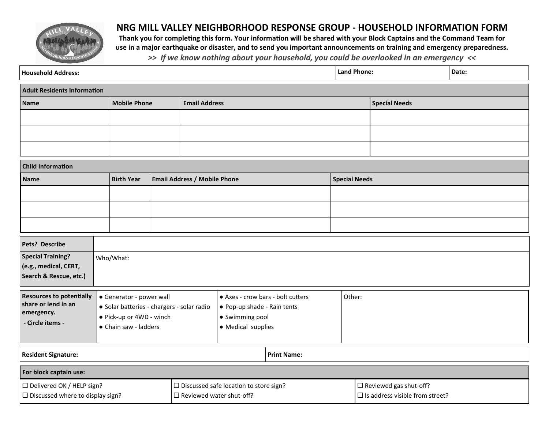

## **NRG MILL VALLEY NEIGHBORHOOD RESPONSE GROUP - HOUSEHOLD INFORMATION FORM**

**Thank you for completing this form. Your information will be shared with your Block Captains and the Command Team for use in a major earthquake or disaster, and to send you important announcements on training and emergency preparedness.**  *>> If we know nothing about your household, you could be overlooked in an emergency <<*

| <b>Household Address:</b>                                                                |                                                                                                                             |                                                          |  |                                 |                                                                                                           |                    | <b>Land Phone:</b> |                                                                         | Date: |
|------------------------------------------------------------------------------------------|-----------------------------------------------------------------------------------------------------------------------------|----------------------------------------------------------|--|---------------------------------|-----------------------------------------------------------------------------------------------------------|--------------------|--------------------|-------------------------------------------------------------------------|-------|
| <b>Adult Residents Information</b>                                                       |                                                                                                                             |                                                          |  |                                 |                                                                                                           |                    |                    |                                                                         |       |
| <b>Name</b>                                                                              |                                                                                                                             | <b>Mobile Phone</b>                                      |  | <b>Email Address</b>            |                                                                                                           |                    |                    | <b>Special Needs</b>                                                    |       |
|                                                                                          |                                                                                                                             |                                                          |  |                                 |                                                                                                           |                    |                    |                                                                         |       |
|                                                                                          |                                                                                                                             |                                                          |  |                                 |                                                                                                           |                    |                    |                                                                         |       |
|                                                                                          |                                                                                                                             |                                                          |  |                                 |                                                                                                           |                    |                    |                                                                         |       |
| <b>Child Information</b>                                                                 |                                                                                                                             |                                                          |  |                                 |                                                                                                           |                    |                    |                                                                         |       |
| <b>Name</b>                                                                              |                                                                                                                             | <b>Birth Year</b><br><b>Email Address / Mobile Phone</b> |  |                                 | <b>Special Needs</b>                                                                                      |                    |                    |                                                                         |       |
|                                                                                          |                                                                                                                             |                                                          |  |                                 |                                                                                                           |                    |                    |                                                                         |       |
|                                                                                          |                                                                                                                             |                                                          |  |                                 |                                                                                                           |                    |                    |                                                                         |       |
|                                                                                          |                                                                                                                             |                                                          |  |                                 |                                                                                                           |                    |                    |                                                                         |       |
| Pets? Describe                                                                           |                                                                                                                             |                                                          |  |                                 |                                                                                                           |                    |                    |                                                                         |       |
| <b>Special Training?</b><br>(e.g., medical, CERT,<br>Search & Rescue, etc.)              | Who/What:                                                                                                                   |                                                          |  |                                 |                                                                                                           |                    |                    |                                                                         |       |
| <b>Resources to potentially</b><br>share or lend in an<br>emergency.<br>- Circle items - | • Generator - power wall<br>· Solar batteries - chargers - solar radio<br>• Pick-up or 4WD - winch<br>• Chain saw - ladders |                                                          |  |                                 | • Axes - crow bars - bolt cutters<br>• Pop-up shade - Rain tents<br>• Swimming pool<br>• Medical supplies |                    | Other:             |                                                                         |       |
| <b>Resident Signature:</b>                                                               |                                                                                                                             |                                                          |  |                                 |                                                                                                           | <b>Print Name:</b> |                    |                                                                         |       |
| For block captain use:                                                                   |                                                                                                                             |                                                          |  |                                 |                                                                                                           |                    |                    |                                                                         |       |
| □ Delivered OK / HELP sign?<br>$\Box$ Discussed where to display sign?                   |                                                                                                                             |                                                          |  | $\Box$ Reviewed water shut-off? | $\square$ Discussed safe location to store sign?                                                          |                    |                    | $\Box$ Reviewed gas shut-off?<br>$\Box$ Is address visible from street? |       |